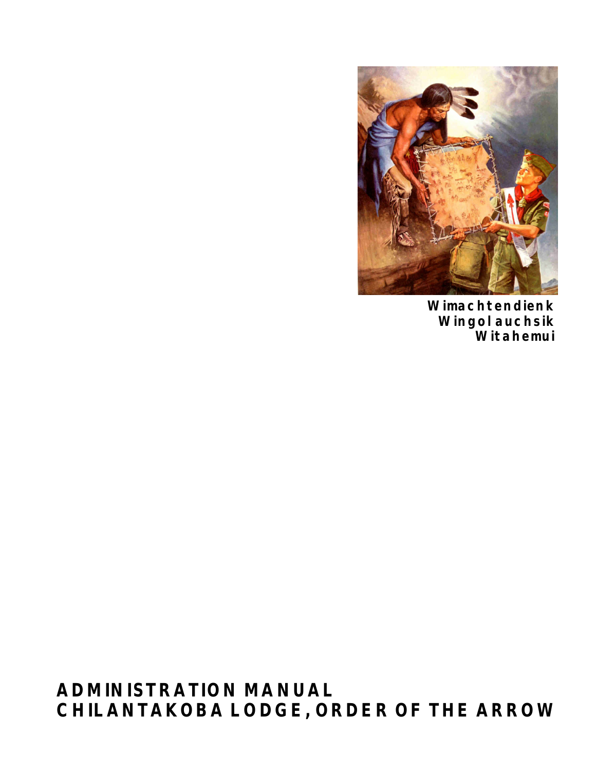

**Wimachtendienk Wingolauchsik Witahemui**

**ADMINISTRATION MANUAL CHILANTAKOBA LODGE, ORDER OF THE ARROW**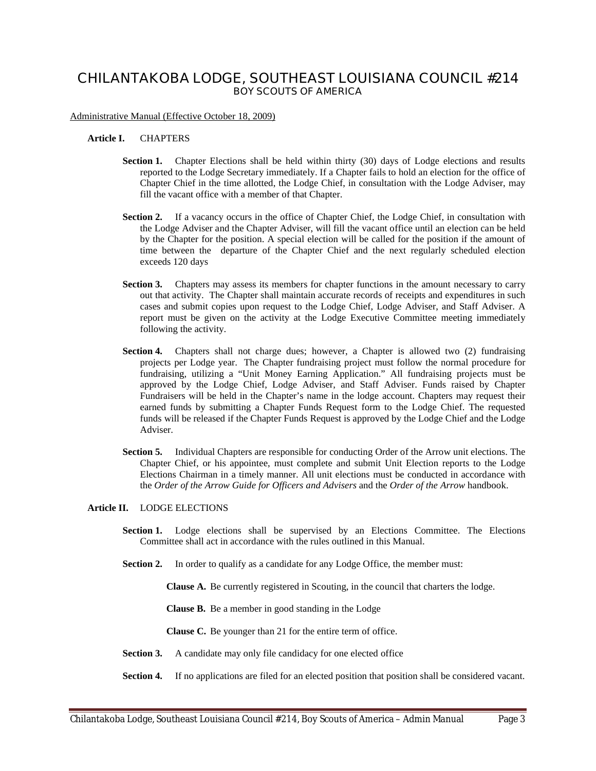# **CHILANTAKOBA LODGE, SOUTHEAST LOUISIANA COUNCIL #214 BOY SCOUTS OF AMERICA**

Administrative Manual (Effective October 18, 2009)

### **Article I.** CHAPTERS

- **Section 1.** Chapter Elections shall be held within thirty (30) days of Lodge elections and results reported to the Lodge Secretary immediately. If a Chapter fails to hold an election for the office of Chapter Chief in the time allotted, the Lodge Chief, in consultation with the Lodge Adviser, may fill the vacant office with a member of that Chapter.
- **Section 2.** If a vacancy occurs in the office of Chapter Chief, the Lodge Chief, in consultation with the Lodge Adviser and the Chapter Adviser, will fill the vacant office until an election can be held by the Chapter for the position. A special election will be called for the position if the amount of time between the departure of the Chapter Chief and the next regularly scheduled election exceeds 120 days
- **Section 3.** Chapters may assess its members for chapter functions in the amount necessary to carry out that activity. The Chapter shall maintain accurate records of receipts and expenditures in such cases and submit copies upon request to the Lodge Chief, Lodge Adviser, and Staff Adviser. A report must be given on the activity at the Lodge Executive Committee meeting immediately following the activity.
- **Section 4.** Chapters shall not charge dues; however, a Chapter is allowed two (2) fundraising projects per Lodge year. The Chapter fundraising project must follow the normal procedure for fundraising, utilizing a "Unit Money Earning Application." All fundraising projects must be approved by the Lodge Chief, Lodge Adviser, and Staff Adviser. Funds raised by Chapter Fundraisers will be held in the Chapter's name in the lodge account. Chapters may request their earned funds by submitting a Chapter Funds Request form to the Lodge Chief. The requested funds will be released if the Chapter Funds Request is approved by the Lodge Chief and the Lodge Adviser.
- **Section 5.** Individual Chapters are responsible for conducting Order of the Arrow unit elections. The Chapter Chief, or his appointee, must complete and submit Unit Election reports to the Lodge Elections Chairman in a timely manner. All unit elections must be conducted in accordance with the *Order of the Arrow Guide for Officers and Advisers* and the *Order of the Arrow* handbook.

#### **Article II.** LODGE ELECTIONS

- **Section 1.** Lodge elections shall be supervised by an Elections Committee. The Elections Committee shall act in accordance with the rules outlined in this Manual.
- **Section 2.** In order to qualify as a candidate for any Lodge Office, the member must:

**Clause A.** Be currently registered in Scouting, in the council that charters the lodge.

**Clause B.** Be a member in good standing in the Lodge

**Clause C.** Be younger than 21 for the entire term of office.

- **Section 3.** A candidate may only file candidacy for one elected office
- **Section 4.** If no applications are filed for an elected position that position shall be considered vacant.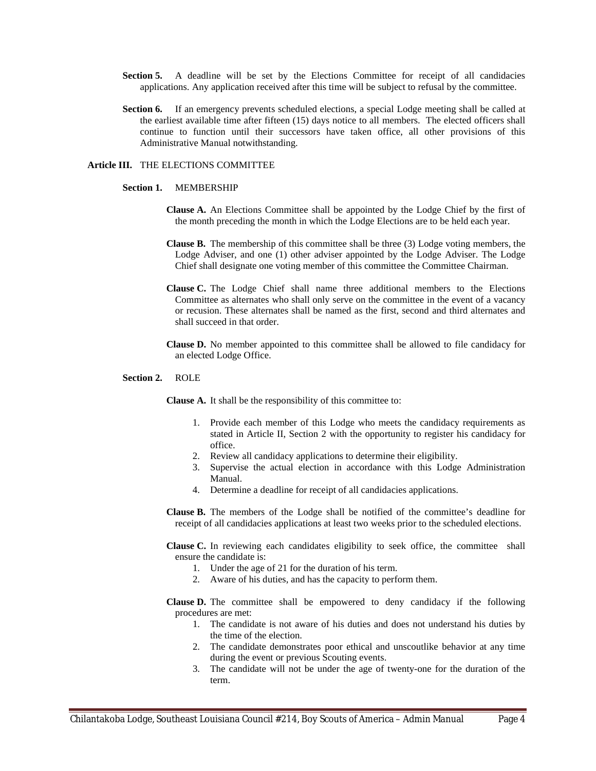- Section 5. A deadline will be set by the Elections Committee for receipt of all candidacies applications. Any application received after this time will be subject to refusal by the committee.
- **Section 6.** If an emergency prevents scheduled elections, a special Lodge meeting shall be called at the earliest available time after fifteen (15) days notice to all members. The elected officers shall continue to function until their successors have taken office, all other provisions of this Administrative Manual notwithstanding.

#### **Article III.** THE ELECTIONS COMMITTEE

#### **Section 1.** MEMBERSHIP

- **Clause A.** An Elections Committee shall be appointed by the Lodge Chief by the first of the month preceding the month in which the Lodge Elections are to be held each year.
- **Clause B.** The membership of this committee shall be three (3) Lodge voting members, the Lodge Adviser, and one (1) other adviser appointed by the Lodge Adviser. The Lodge Chief shall designate one voting member of this committee the Committee Chairman.
- **Clause C.** The Lodge Chief shall name three additional members to the Elections Committee as alternates who shall only serve on the committee in the event of a vacancy or recusion. These alternates shall be named as the first, second and third alternates and shall succeed in that order.
- **Clause D.** No member appointed to this committee shall be allowed to file candidacy for an elected Lodge Office.

#### **Section 2.** ROLE

**Clause A.** It shall be the responsibility of this committee to:

- 1. Provide each member of this Lodge who meets the candidacy requirements as stated in Article II, Section 2 with the opportunity to register his candidacy for office.
- 2. Review all candidacy applications to determine their eligibility.
- 3. Supervise the actual election in accordance with this Lodge Administration Manual.
- 4. Determine a deadline for receipt of all candidacies applications.
- **Clause B.** The members of the Lodge shall be notified of the committee's deadline for receipt of all candidacies applications at least two weeks prior to the scheduled elections.

**Clause C.** In reviewing each candidates eligibility to seek office, the committee shall ensure the candidate is:

- 1. Under the age of 21 for the duration of his term.
- 2. Aware of his duties, and has the capacity to perform them.

**Clause D.** The committee shall be empowered to deny candidacy if the following procedures are met:

- 1. The candidate is not aware of his duties and does not understand his duties by the time of the election.
- 2. The candidate demonstrates poor ethical and unscoutlike behavior at any time during the event or previous Scouting events.
- 3. The candidate will not be under the age of twenty-one for the duration of the term.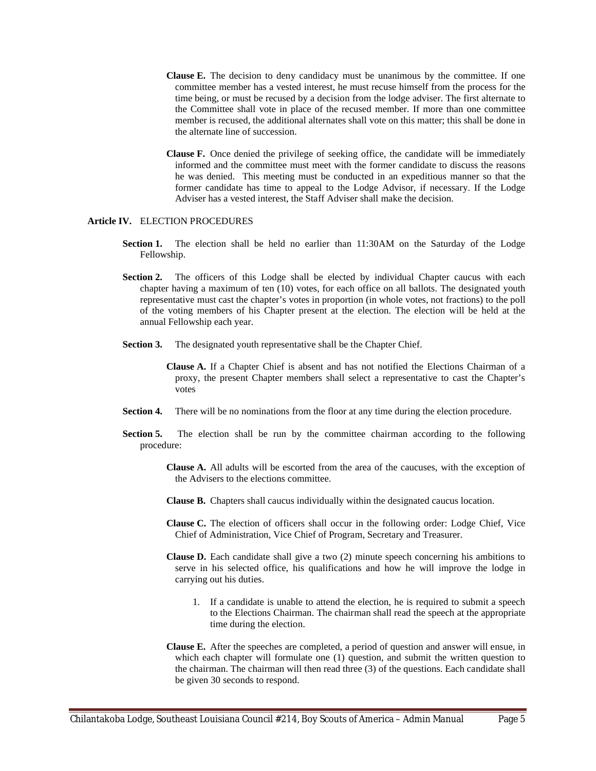- **Clause E.** The decision to deny candidacy must be unanimous by the committee. If one committee member has a vested interest, he must recuse himself from the process for the time being, or must be recused by a decision from the lodge adviser. The first alternate to the Committee shall vote in place of the recused member. If more than one committee member is recused, the additional alternates shall vote on this matter; this shall be done in the alternate line of succession.
- **Clause F.** Once denied the privilege of seeking office, the candidate will be immediately informed and the committee must meet with the former candidate to discuss the reasons he was denied. This meeting must be conducted in an expeditious manner so that the former candidate has time to appeal to the Lodge Advisor, if necessary. If the Lodge Adviser has a vested interest, the Staff Adviser shall make the decision.

#### **Article IV.** ELECTION PROCEDURES

- **Section 1.** The election shall be held no earlier than 11:30AM on the Saturday of the Lodge Fellowship.
- **Section 2.** The officers of this Lodge shall be elected by individual Chapter caucus with each chapter having a maximum of ten (10) votes, for each office on all ballots. The designated youth representative must cast the chapter's votes in proportion (in whole votes, not fractions) to the poll of the voting members of his Chapter present at the election. The election will be held at the annual Fellowship each year.
- **Section 3.** The designated youth representative shall be the Chapter Chief.
	- **Clause A.** If a Chapter Chief is absent and has not notified the Elections Chairman of a proxy, the present Chapter members shall select a representative to cast the Chapter's votes
- **Section 4.** There will be no nominations from the floor at any time during the election procedure.
- **Section 5.** The election shall be run by the committee chairman according to the following procedure:
	- **Clause A.** All adults will be escorted from the area of the caucuses, with the exception of the Advisers to the elections committee.
	- **Clause B.** Chapters shall caucus individually within the designated caucus location.
	- **Clause C.** The election of officers shall occur in the following order: Lodge Chief, Vice Chief of Administration, Vice Chief of Program, Secretary and Treasurer.
	- **Clause D.** Each candidate shall give a two (2) minute speech concerning his ambitions to serve in his selected office, his qualifications and how he will improve the lodge in carrying out his duties.
		- 1. If a candidate is unable to attend the election, he is required to submit a speech to the Elections Chairman. The chairman shall read the speech at the appropriate time during the election.
	- **Clause E.** After the speeches are completed, a period of question and answer will ensue, in which each chapter will formulate one (1) question, and submit the written question to the chairman. The chairman will then read three (3) of the questions. Each candidate shall be given 30 seconds to respond.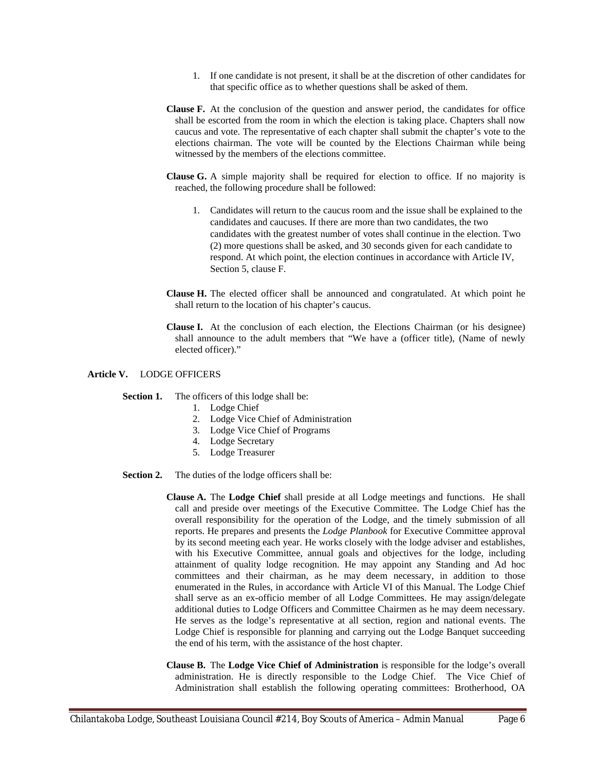- 1. If one candidate is not present, it shall be at the discretion of other candidates for that specific office as to whether questions shall be asked of them.
- **Clause F.** At the conclusion of the question and answer period, the candidates for office shall be escorted from the room in which the election is taking place. Chapters shall now caucus and vote. The representative of each chapter shall submit the chapter's vote to the elections chairman. The vote will be counted by the Elections Chairman while being witnessed by the members of the elections committee.
- **Clause G.** A simple majority shall be required for election to office. If no majority is reached, the following procedure shall be followed:
	- 1. Candidates will return to the caucus room and the issue shall be explained to the candidates and caucuses. If there are more than two candidates, the two candidates with the greatest number of votes shall continue in the election. Two (2) more questions shall be asked, and 30 seconds given for each candidate to respond. At which point, the election continues in accordance with Article IV, Section 5, clause F.
- **Clause H.** The elected officer shall be announced and congratulated. At which point he shall return to the location of his chapter's caucus.
- **Clause I.** At the conclusion of each election, the Elections Chairman (or his designee) shall announce to the adult members that "We have a (officer title), (Name of newly elected officer)."

# **Article V.** LODGE OFFICERS

**Section 1.** The officers of this lodge shall be:

- 1. Lodge Chief
- 2. Lodge Vice Chief of Administration
- 3. Lodge Vice Chief of Programs
- 4. Lodge Secretary
- 5. Lodge Treasurer
- **Section 2.** The duties of the lodge officers shall be:
	- **Clause A.** The **Lodge Chief** shall preside at all Lodge meetings and functions. He shall call and preside over meetings of the Executive Committee. The Lodge Chief has the overall responsibility for the operation of the Lodge, and the timely submission of all reports. He prepares and presents the *Lodge Planbook* for Executive Committee approval by its second meeting each year. He works closely with the lodge adviser and establishes, with his Executive Committee, annual goals and objectives for the lodge, including attainment of quality lodge recognition. He may appoint any Standing and Ad hoc committees and their chairman, as he may deem necessary, in addition to those enumerated in the Rules, in accordance with Article VI of this Manual. The Lodge Chief shall serve as an ex-officio member of all Lodge Committees. He may assign/delegate additional duties to Lodge Officers and Committee Chairmen as he may deem necessary. He serves as the lodge's representative at all section, region and national events. The Lodge Chief is responsible for planning and carrying out the Lodge Banquet succeeding the end of his term, with the assistance of the host chapter.
	- **Clause B.** The **Lodge Vice Chief of Administration** is responsible for the lodge's overall administration. He is directly responsible to the Lodge Chief. The Vice Chief of Administration shall establish the following operating committees: Brotherhood, OA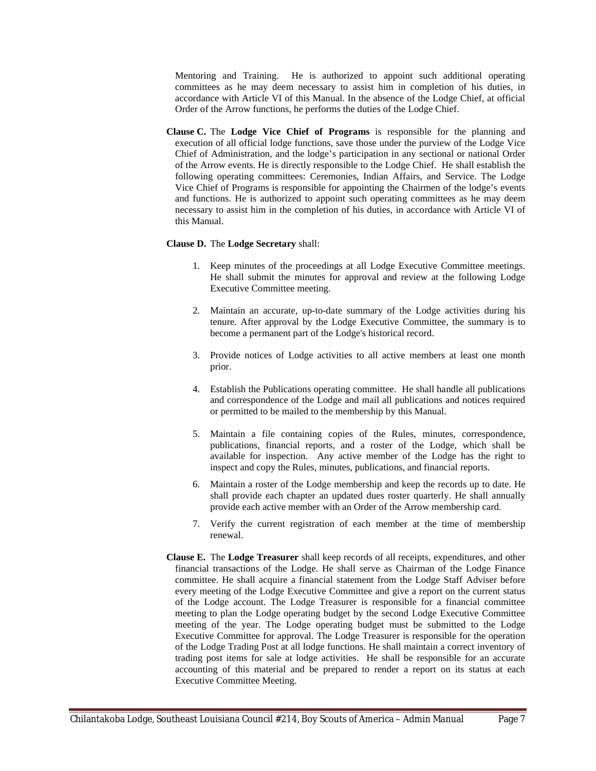Mentoring and Training. He is authorized to appoint such additional operating committees as he may deem necessary to assist him in completion of his duties, in accordance with Article VI of this Manual. In the absence of the Lodge Chief, at official Order of the Arrow functions, he performs the duties of the Lodge Chief.

**Clause C.** The **Lodge Vice Chief of Programs** is responsible for the planning and execution of all official lodge functions, save those under the purview of the Lodge Vice Chief of Administration, and the lodge's participation in any sectional or national Order of the Arrow events. He is directly responsible to the Lodge Chief. He shall establish the following operating committees: Ceremonies, Indian Affairs, and Service. The Lodge Vice Chief of Programs is responsible for appointing the Chairmen of the lodge's events and functions. He is authorized to appoint such operating committees as he may deem necessary to assist him in the completion of his duties, in accordance with Article VI of this Manual.

# **Clause D.** The **Lodge Secretary** shall:

- 1. Keep minutes of the proceedings at all Lodge Executive Committee meetings. He shall submit the minutes for approval and review at the following Lodge Executive Committee meeting.
- 2. Maintain an accurate, up-to-date summary of the Lodge activities during his tenure. After approval by the Lodge Executive Committee, the summary is to become a permanent part of the Lodge's historical record.
- 3. Provide notices of Lodge activities to all active members at least one month prior.
- 4. Establish the Publications operating committee. He shall handle all publications and correspondence of the Lodge and mail all publications and notices required or permitted to be mailed to the membership by this Manual.
- 5. Maintain a file containing copies of the Rules, minutes, correspondence, publications, financial reports, and a roster of the Lodge, which shall be available for inspection. Any active member of the Lodge has the right to inspect and copy the Rules, minutes, publications, and financial reports.
- 6. Maintain a roster of the Lodge membership and keep the records up to date. He shall provide each chapter an updated dues roster quarterly. He shall annually provide each active member with an Order of the Arrow membership card.
- 7. Verify the current registration of each member at the time of membership renewal.
- **Clause E.** The **Lodge Treasurer** shall keep records of all receipts, expenditures, and other financial transactions of the Lodge. He shall serve as Chairman of the Lodge Finance committee. He shall acquire a financial statement from the Lodge Staff Adviser before every meeting of the Lodge Executive Committee and give a report on the current status of the Lodge account. The Lodge Treasurer is responsible for a financial committee meeting to plan the Lodge operating budget by the second Lodge Executive Committee meeting of the year. The Lodge operating budget must be submitted to the Lodge Executive Committee for approval. The Lodge Treasurer is responsible for the operation of the Lodge Trading Post at all lodge functions. He shall maintain a correct inventory of trading post items for sale at lodge activities. He shall be responsible for an accurate accounting of this material and be prepared to render a report on its status at each Executive Committee Meeting.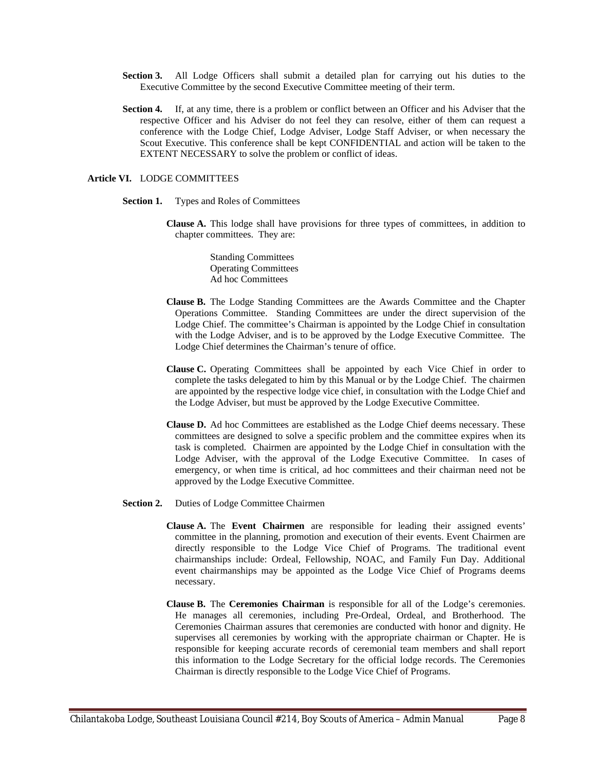- **Section 3.** All Lodge Officers shall submit a detailed plan for carrying out his duties to the Executive Committee by the second Executive Committee meeting of their term.
- **Section 4.** If, at any time, there is a problem or conflict between an Officer and his Adviser that the respective Officer and his Adviser do not feel they can resolve, either of them can request a conference with the Lodge Chief, Lodge Adviser, Lodge Staff Adviser, or when necessary the Scout Executive. This conference shall be kept CONFIDENTIAL and action will be taken to the EXTENT NECESSARY to solve the problem or conflict of ideas.

## **Article VI.** LODGE COMMITTEES

- **Section 1.** Types and Roles of Committees
	- **Clause A.** This lodge shall have provisions for three types of committees, in addition to chapter committees. They are:

Standing Committees Operating Committees Ad hoc Committees

- **Clause B.** The Lodge Standing Committees are the Awards Committee and the Chapter Operations Committee. Standing Committees are under the direct supervision of the Lodge Chief. The committee's Chairman is appointed by the Lodge Chief in consultation with the Lodge Adviser, and is to be approved by the Lodge Executive Committee. The Lodge Chief determines the Chairman's tenure of office.
- **Clause C.** Operating Committees shall be appointed by each Vice Chief in order to complete the tasks delegated to him by this Manual or by the Lodge Chief. The chairmen are appointed by the respective lodge vice chief, in consultation with the Lodge Chief and the Lodge Adviser, but must be approved by the Lodge Executive Committee.
- **Clause D.** Ad hoc Committees are established as the Lodge Chief deems necessary. These committees are designed to solve a specific problem and the committee expires when its task is completed. Chairmen are appointed by the Lodge Chief in consultation with the Lodge Adviser, with the approval of the Lodge Executive Committee. In cases of emergency, or when time is critical, ad hoc committees and their chairman need not be approved by the Lodge Executive Committee.
- **Section 2.** Duties of Lodge Committee Chairmen
	- **Clause A.** The **Event Chairmen** are responsible for leading their assigned events' committee in the planning, promotion and execution of their events. Event Chairmen are directly responsible to the Lodge Vice Chief of Programs. The traditional event chairmanships include: Ordeal, Fellowship, NOAC, and Family Fun Day. Additional event chairmanships may be appointed as the Lodge Vice Chief of Programs deems necessary.
	- **Clause B.** The **Ceremonies Chairman** is responsible for all of the Lodge's ceremonies. He manages all ceremonies, including Pre-Ordeal, Ordeal, and Brotherhood. The Ceremonies Chairman assures that ceremonies are conducted with honor and dignity. He supervises all ceremonies by working with the appropriate chairman or Chapter. He is responsible for keeping accurate records of ceremonial team members and shall report this information to the Lodge Secretary for the official lodge records. The Ceremonies Chairman is directly responsible to the Lodge Vice Chief of Programs.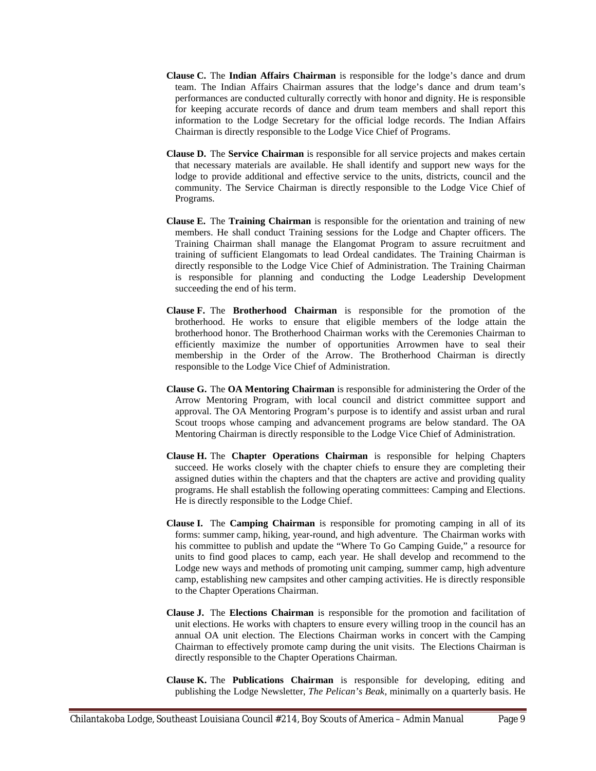- **Clause C.** The **Indian Affairs Chairman** is responsible for the lodge's dance and drum team. The Indian Affairs Chairman assures that the lodge's dance and drum team's performances are conducted culturally correctly with honor and dignity. He is responsible for keeping accurate records of dance and drum team members and shall report this information to the Lodge Secretary for the official lodge records. The Indian Affairs Chairman is directly responsible to the Lodge Vice Chief of Programs.
- **Clause D.** The **Service Chairman** is responsible for all service projects and makes certain that necessary materials are available. He shall identify and support new ways for the lodge to provide additional and effective service to the units, districts, council and the community. The Service Chairman is directly responsible to the Lodge Vice Chief of Programs.
- **Clause E.** The **Training Chairman** is responsible for the orientation and training of new members. He shall conduct Training sessions for the Lodge and Chapter officers. The Training Chairman shall manage the Elangomat Program to assure recruitment and training of sufficient Elangomats to lead Ordeal candidates. The Training Chairman is directly responsible to the Lodge Vice Chief of Administration. The Training Chairman is responsible for planning and conducting the Lodge Leadership Development succeeding the end of his term.
- **Clause F.** The **Brotherhood Chairman** is responsible for the promotion of the brotherhood. He works to ensure that eligible members of the lodge attain the brotherhood honor. The Brotherhood Chairman works with the Ceremonies Chairman to efficiently maximize the number of opportunities Arrowmen have to seal their membership in the Order of the Arrow. The Brotherhood Chairman is directly responsible to the Lodge Vice Chief of Administration.
- **Clause G.** The **OA Mentoring Chairman** is responsible for administering the Order of the Arrow Mentoring Program, with local council and district committee support and approval. The OA Mentoring Program's purpose is to identify and assist urban and rural Scout troops whose camping and advancement programs are below standard. The OA Mentoring Chairman is directly responsible to the Lodge Vice Chief of Administration.
- **Clause H.** The **Chapter Operations Chairman** is responsible for helping Chapters succeed. He works closely with the chapter chiefs to ensure they are completing their assigned duties within the chapters and that the chapters are active and providing quality programs. He shall establish the following operating committees: Camping and Elections. He is directly responsible to the Lodge Chief.
- **Clause I.** The **Camping Chairman** is responsible for promoting camping in all of its forms: summer camp, hiking, year-round, and high adventure. The Chairman works with his committee to publish and update the "Where To Go Camping Guide," a resource for units to find good places to camp, each year. He shall develop and recommend to the Lodge new ways and methods of promoting unit camping, summer camp, high adventure camp, establishing new campsites and other camping activities. He is directly responsible to the Chapter Operations Chairman.
- **Clause J.** The **Elections Chairman** is responsible for the promotion and facilitation of unit elections. He works with chapters to ensure every willing troop in the council has an annual OA unit election. The Elections Chairman works in concert with the Camping Chairman to effectively promote camp during the unit visits. The Elections Chairman is directly responsible to the Chapter Operations Chairman.
- **Clause K.** The **Publications Chairman** is responsible for developing, editing and publishing the Lodge Newsletter, *The Pelican's Beak*, minimally on a quarterly basis. He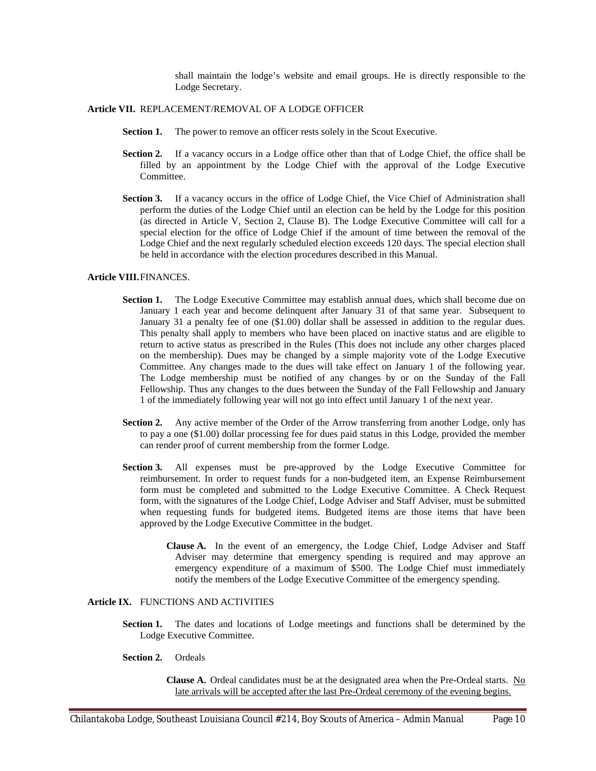shall maintain the lodge's website and email groups. He is directly responsible to the Lodge Secretary.

# **Article VII.** REPLACEMENT/REMOVAL OF A LODGE OFFICER

- **Section 1.** The power to remove an officer rests solely in the Scout Executive.
- **Section 2.** If a vacancy occurs in a Lodge office other than that of Lodge Chief, the office shall be filled by an appointment by the Lodge Chief with the approval of the Lodge Executive Committee.
- **Section 3.** If a vacancy occurs in the office of Lodge Chief, the Vice Chief of Administration shall perform the duties of the Lodge Chief until an election can be held by the Lodge for this position (as directed in Article V, Section 2, Clause B). The Lodge Executive Committee will call for a special election for the office of Lodge Chief if the amount of time between the removal of the Lodge Chief and the next regularly scheduled election exceeds 120 days. The special election shall be held in accordance with the election procedures described in this Manual.

#### **Article VIII.**FINANCES.

- Section 1. The Lodge Executive Committee may establish annual dues, which shall become due on January 1 each year and become delinquent after January 31 of that same year. Subsequent to January 31 a penalty fee of one (\$1.00) dollar shall be assessed in addition to the regular dues. This penalty shall apply to members who have been placed on inactive status and are eligible to return to active status as prescribed in the Rules (This does not include any other charges placed on the membership). Dues may be changed by a simple majority vote of the Lodge Executive Committee. Any changes made to the dues will take effect on January 1 of the following year. The Lodge membership must be notified of any changes by or on the Sunday of the Fall Fellowship. Thus any changes to the dues between the Sunday of the Fall Fellowship and January 1 of the immediately following year will not go into effect until January 1 of the next year.
- **Section 2.** Any active member of the Order of the Arrow transferring from another Lodge, only has to pay a one (\$1.00) dollar processing fee for dues paid status in this Lodge, provided the member can render proof of current membership from the former Lodge.
- **Section 3.** All expenses must be pre-approved by the Lodge Executive Committee for reimbursement. In order to request funds for a non-budgeted item, an Expense Reimbursement form must be completed and submitted to the Lodge Executive Committee. A Check Request form, with the signatures of the Lodge Chief, Lodge Adviser and Staff Adviser, must be submitted when requesting funds for budgeted items. Budgeted items are those items that have been approved by the Lodge Executive Committee in the budget.
	- **Clause A.** In the event of an emergency, the Lodge Chief, Lodge Adviser and Staff Adviser may determine that emergency spending is required and may approve an emergency expenditure of a maximum of \$500. The Lodge Chief must immediately notify the members of the Lodge Executive Committee of the emergency spending.

# **Article IX.** FUNCTIONS AND ACTIVITIES

- **Section 1.** The dates and locations of Lodge meetings and functions shall be determined by the Lodge Executive Committee.
- **Section 2.** Ordeals

**Clause A.** Ordeal candidates must be at the designated area when the Pre-Ordeal starts. No late arrivals will be accepted after the last Pre-Ordeal ceremony of the evening begins.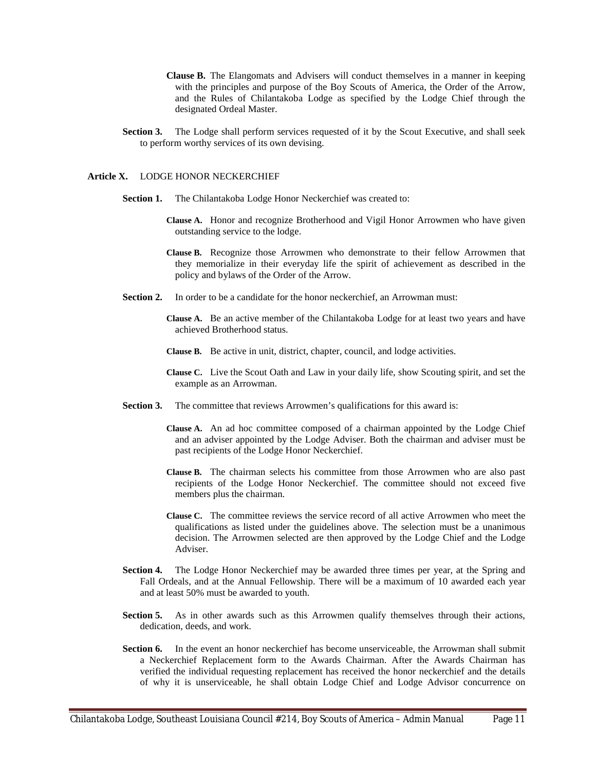- **Clause B.** The Elangomats and Advisers will conduct themselves in a manner in keeping with the principles and purpose of the Boy Scouts of America, the Order of the Arrow, and the Rules of Chilantakoba Lodge as specified by the Lodge Chief through the designated Ordeal Master.
- **Section 3.** The Lodge shall perform services requested of it by the Scout Executive, and shall seek to perform worthy services of its own devising.

#### **Article X.** LODGE HONOR NECKERCHIEF

- **Section 1.** The Chilantakoba Lodge Honor Neckerchief was created to:
	- **Clause A.** Honor and recognize Brotherhood and Vigil Honor Arrowmen who have given outstanding service to the lodge.
	- **Clause B.** Recognize those Arrowmen who demonstrate to their fellow Arrowmen that they memorialize in their everyday life the spirit of achievement as described in the policy and bylaws of the Order of the Arrow.
- **Section 2.** In order to be a candidate for the honor neckerchief, an Arrowman must:
	- **Clause A.** Be an active member of the Chilantakoba Lodge for at least two years and have achieved Brotherhood status.
	- **Clause B.** Be active in unit, district, chapter, council, and lodge activities.
	- **Clause C.** Live the Scout Oath and Law in your daily life, show Scouting spirit, and set the example as an Arrowman.
- **Section 3.** The committee that reviews Arrowmen's qualifications for this award is:
	- **Clause A.** An ad hoc committee composed of a chairman appointed by the Lodge Chief and an adviser appointed by the Lodge Adviser. Both the chairman and adviser must be past recipients of the Lodge Honor Neckerchief.
	- **Clause B.** The chairman selects his committee from those Arrowmen who are also past recipients of the Lodge Honor Neckerchief. The committee should not exceed five members plus the chairman.
	- **Clause C.** The committee reviews the service record of all active Arrowmen who meet the qualifications as listed under the guidelines above. The selection must be a unanimous decision. The Arrowmen selected are then approved by the Lodge Chief and the Lodge Adviser.
- **Section 4.** The Lodge Honor Neckerchief may be awarded three times per year, at the Spring and Fall Ordeals, and at the Annual Fellowship. There will be a maximum of 10 awarded each year and at least 50% must be awarded to youth.
- **Section 5.** As in other awards such as this Arrowmen qualify themselves through their actions, dedication, deeds, and work.
- **Section 6.** In the event an honor neckerchief has become unserviceable, the Arrowman shall submit a Neckerchief Replacement form to the Awards Chairman. After the Awards Chairman has verified the individual requesting replacement has received the honor neckerchief and the details of why it is unserviceable, he shall obtain Lodge Chief and Lodge Advisor concurrence on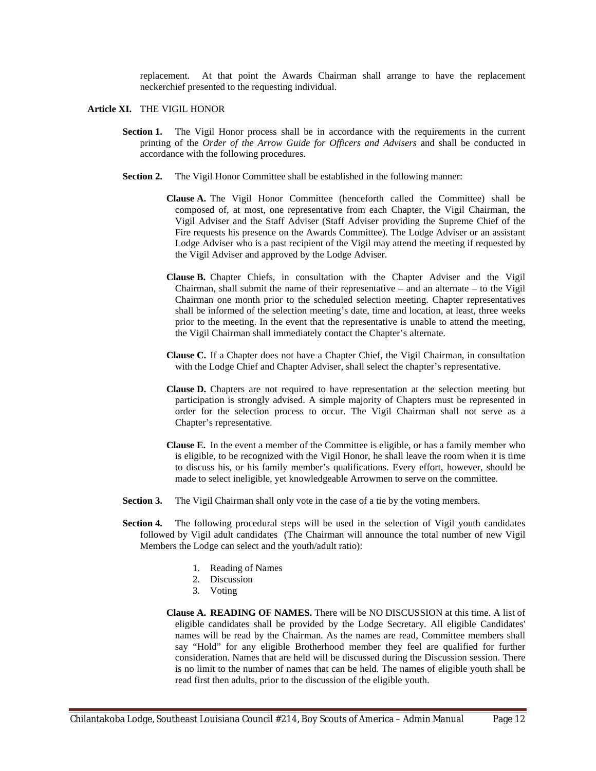replacement. At that point the Awards Chairman shall arrange to have the replacement neckerchief presented to the requesting individual.

#### **Article XI.** THE VIGIL HONOR

- **Section 1.** The Vigil Honor process shall be in accordance with the requirements in the current printing of the *Order of the Arrow Guide for Officers and Advisers* and shall be conducted in accordance with the following procedures.
- **Section 2.** The Vigil Honor Committee shall be established in the following manner:
	- **Clause A.** The Vigil Honor Committee (henceforth called the Committee) shall be composed of, at most, one representative from each Chapter, the Vigil Chairman, the Vigil Adviser and the Staff Adviser (Staff Adviser providing the Supreme Chief of the Fire requests his presence on the Awards Committee). The Lodge Adviser or an assistant Lodge Adviser who is a past recipient of the Vigil may attend the meeting if requested by the Vigil Adviser and approved by the Lodge Adviser.
	- **Clause B.** Chapter Chiefs, in consultation with the Chapter Adviser and the Vigil Chairman, shall submit the name of their representative – and an alternate – to the Vigil Chairman one month prior to the scheduled selection meeting. Chapter representatives shall be informed of the selection meeting's date, time and location, at least, three weeks prior to the meeting. In the event that the representative is unable to attend the meeting, the Vigil Chairman shall immediately contact the Chapter's alternate.
	- **Clause C.** If a Chapter does not have a Chapter Chief, the Vigil Chairman, in consultation with the Lodge Chief and Chapter Adviser, shall select the chapter's representative.
	- **Clause D.** Chapters are not required to have representation at the selection meeting but participation is strongly advised. A simple majority of Chapters must be represented in order for the selection process to occur. The Vigil Chairman shall not serve as a Chapter's representative.
	- **Clause E.** In the event a member of the Committee is eligible, or has a family member who is eligible, to be recognized with the Vigil Honor, he shall leave the room when it is time to discuss his, or his family member's qualifications. Every effort, however, should be made to select ineligible, yet knowledgeable Arrowmen to serve on the committee.
- **Section 3.** The Vigil Chairman shall only vote in the case of a tie by the voting members.
- **Section 4.** The following procedural steps will be used in the selection of Vigil youth candidates followed by Vigil adult candidates (The Chairman will announce the total number of new Vigil Members the Lodge can select and the youth/adult ratio):
	- 1. Reading of Names
	- 2. Discussion
	- 3. Voting
	- **Clause A. READING OF NAMES.** There will be NO DISCUSSION at this time. A list of eligible candidates shall be provided by the Lodge Secretary. All eligible Candidates' names will be read by the Chairman. As the names are read, Committee members shall say "Hold" for any eligible Brotherhood member they feel are qualified for further consideration. Names that are held will be discussed during the Discussion session. There is no limit to the number of names that can be held. The names of eligible youth shall be read first then adults, prior to the discussion of the eligible youth.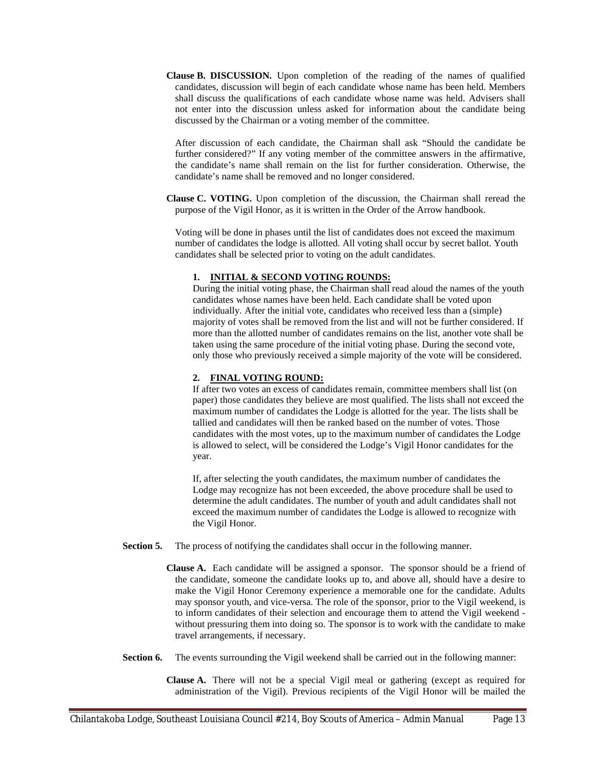**Clause B. DISCUSSION.** Upon completion of the reading of the names of qualified candidates, discussion will begin of each candidate whose name has been held. Members shall discuss the qualifications of each candidate whose name was held. Advisers shall not enter into the discussion unless asked for information about the candidate being discussed by the Chairman or a voting member of the committee.

After discussion of each candidate, the Chairman shall ask "Should the candidate be further considered?" If any voting member of the committee answers in the affirmative, the candidate's name shall remain on the list for further consideration. Otherwise, the candidate's name shall be removed and no longer considered.

**Clause C. VOTING.** Upon completion of the discussion, the Chairman shall reread the purpose of the Vigil Honor, as it is written in the Order of the Arrow handbook.

Voting will be done in phases until the list of candidates does not exceed the maximum number of candidates the lodge is allotted. All voting shall occur by secret ballot. Youth candidates shall be selected prior to voting on the adult candidates.

# **1. INITIAL & SECOND VOTING ROUNDS:**

During the initial voting phase, the Chairman shall read aloud the names of the youth candidates whose names have been held. Each candidate shall be voted upon individually. After the initial vote, candidates who received less than a (simple) majority of votes shall be removed from the list and will not be further considered. If more than the allotted number of candidates remains on the list, another vote shall be taken using the same procedure of the initial voting phase. During the second vote, only those who previously received a simple majority of the vote will be considered.

# **2. FINAL VOTING ROUND:**

If after two votes an excess of candidates remain, committee members shall list (on paper) those candidates they believe are most qualified. The lists shall not exceed the maximum number of candidates the Lodge is allotted for the year. The lists shall be tallied and candidates will then be ranked based on the number of votes. Those candidates with the most votes, up to the maximum number of candidates the Lodge is allowed to select, will be considered the Lodge's Vigil Honor candidates for the year.

If, after selecting the youth candidates, the maximum number of candidates the Lodge may recognize has not been exceeded, the above procedure shall be used to determine the adult candidates. The number of youth and adult candidates shall not exceed the maximum number of candidates the Lodge is allowed to recognize with the Vigil Honor.

**Section 5.** The process of notifying the candidates shall occur in the following manner.

**Clause A.** Each candidate will be assigned a sponsor. The sponsor should be a friend of the candidate, someone the candidate looks up to, and above all, should have a desire to make the Vigil Honor Ceremony experience a memorable one for the candidate. Adults may sponsor youth, and vice-versa. The role of the sponsor, prior to the Vigil weekend, is to inform candidates of their selection and encourage them to attend the Vigil weekend without pressuring them into doing so. The sponsor is to work with the candidate to make travel arrangements, if necessary.

**Section 6.** The events surrounding the Vigil weekend shall be carried out in the following manner:

**Clause A.** There will not be a special Vigil meal or gathering (except as required for administration of the Vigil). Previous recipients of the Vigil Honor will be mailed the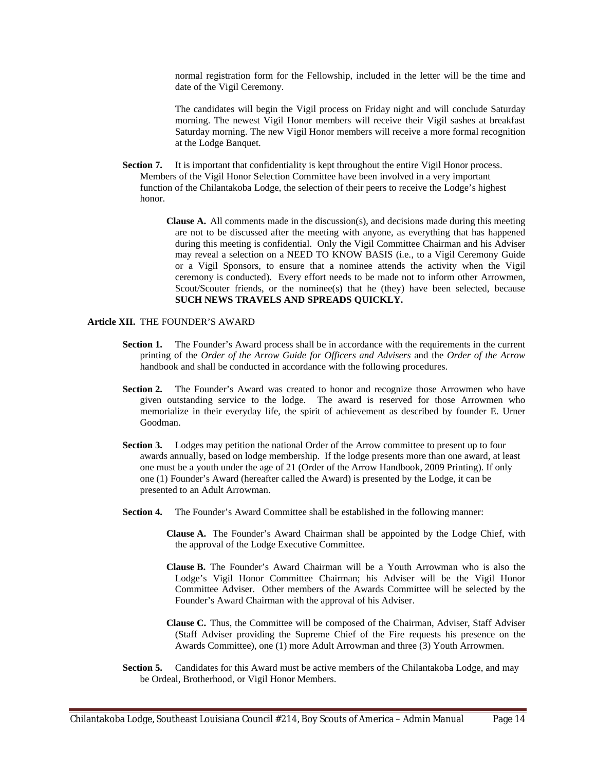normal registration form for the Fellowship, included in the letter will be the time and date of the Vigil Ceremony.

The candidates will begin the Vigil process on Friday night and will conclude Saturday morning. The newest Vigil Honor members will receive their Vigil sashes at breakfast Saturday morning. The new Vigil Honor members will receive a more formal recognition at the Lodge Banquet.

- **Section 7.** It is important that confidentiality is kept throughout the entire Vigil Honor process. Members of the Vigil Honor Selection Committee have been involved in a very important function of the Chilantakoba Lodge, the selection of their peers to receive the Lodge's highest honor.
	- **Clause A.** All comments made in the discussion(s), and decisions made during this meeting are not to be discussed after the meeting with anyone, as everything that has happened during this meeting is confidential. Only the Vigil Committee Chairman and his Adviser may reveal a selection on a NEED TO KNOW BASIS (i.e., to a Vigil Ceremony Guide or a Vigil Sponsors, to ensure that a nominee attends the activity when the Vigil ceremony is conducted). Every effort needs to be made not to inform other Arrowmen, Scout/Scouter friends, or the nominee(s) that he (they) have been selected, because **SUCH NEWS TRAVELS AND SPREADS QUICKLY.**

# **Article XII.** THE FOUNDER'S AWARD

- **Section 1.** The Founder's Award process shall be in accordance with the requirements in the current printing of the *Order of the Arrow Guide for Officers and Advisers* and the *Order of the Arrow* handbook and shall be conducted in accordance with the following procedures.
- **Section 2.** The Founder's Award was created to honor and recognize those Arrowmen who have given outstanding service to the lodge. The award is reserved for those Arrowmen who memorialize in their everyday life, the spirit of achievement as described by founder E. Urner Goodman.
- **Section 3.** Lodges may petition the national Order of the Arrow committee to present up to four awards annually, based on lodge membership. If the lodge presents more than one award, at least one must be a youth under the age of 21 (Order of the Arrow Handbook, 2009 Printing). If only one (1) Founder's Award (hereafter called the Award) is presented by the Lodge, it can be presented to an Adult Arrowman.
- **Section 4.** The Founder's Award Committee shall be established in the following manner:
	- **Clause A.** The Founder's Award Chairman shall be appointed by the Lodge Chief, with the approval of the Lodge Executive Committee.
	- **Clause B.** The Founder's Award Chairman will be a Youth Arrowman who is also the Lodge's Vigil Honor Committee Chairman; his Adviser will be the Vigil Honor Committee Adviser. Other members of the Awards Committee will be selected by the Founder's Award Chairman with the approval of his Adviser.
	- **Clause C.** Thus, the Committee will be composed of the Chairman, Adviser, Staff Adviser (Staff Adviser providing the Supreme Chief of the Fire requests his presence on the Awards Committee), one (1) more Adult Arrowman and three (3) Youth Arrowmen.
- **Section 5.** Candidates for this Award must be active members of the Chilantakoba Lodge, and may be Ordeal, Brotherhood, or Vigil Honor Members.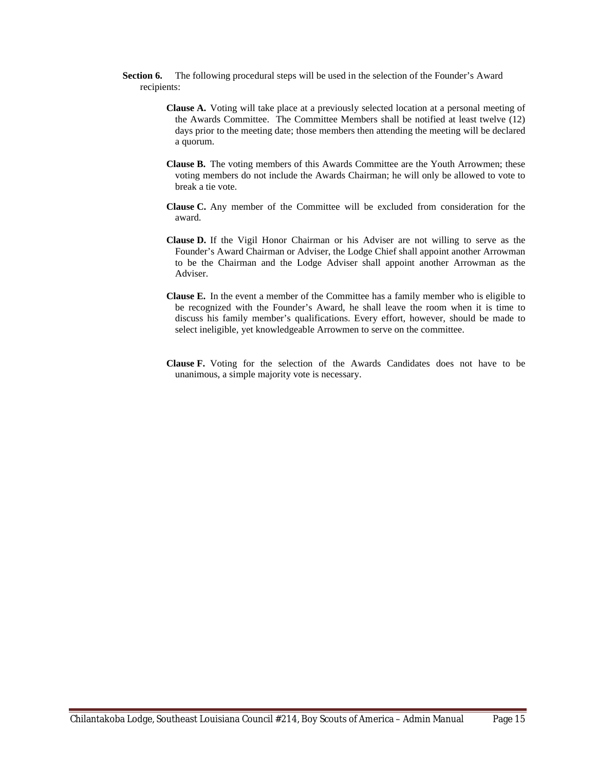- **Section 6.** The following procedural steps will be used in the selection of the Founder's Award recipients:
	- **Clause A.** Voting will take place at a previously selected location at a personal meeting of the Awards Committee. The Committee Members shall be notified at least twelve (12) days prior to the meeting date; those members then attending the meeting will be declared a quorum.
	- **Clause B.** The voting members of this Awards Committee are the Youth Arrowmen; these voting members do not include the Awards Chairman; he will only be allowed to vote to break a tie vote.
	- **Clause C.** Any member of the Committee will be excluded from consideration for the award.
	- **Clause D.** If the Vigil Honor Chairman or his Adviser are not willing to serve as the Founder's Award Chairman or Adviser, the Lodge Chief shall appoint another Arrowman to be the Chairman and the Lodge Adviser shall appoint another Arrowman as the Adviser.
	- **Clause E.** In the event a member of the Committee has a family member who is eligible to be recognized with the Founder's Award, he shall leave the room when it is time to discuss his family member's qualifications. Every effort, however, should be made to select ineligible, yet knowledgeable Arrowmen to serve on the committee.
	- **Clause F.** Voting for the selection of the Awards Candidates does not have to be unanimous, a simple majority vote is necessary.